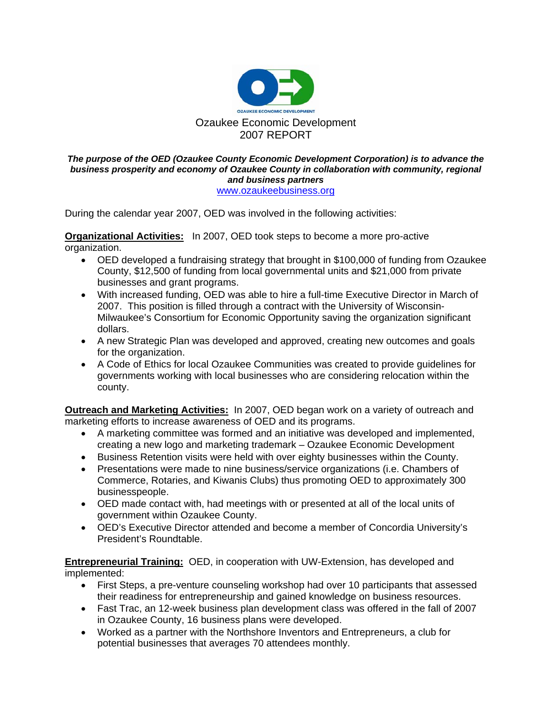

## *The purpose of the OED (Ozaukee County Economic Development Corporation) is to advance the business prosperity and economy of Ozaukee County in collaboration with community, regional and business partners*  www.ozaukeebusiness.org

During the calendar year 2007, OED was involved in the following activities:

**Organizational Activities:** In 2007, OED took steps to become a more pro-active organization.

- OED developed a fundraising strategy that brought in \$100,000 of funding from Ozaukee County, \$12,500 of funding from local governmental units and \$21,000 from private businesses and grant programs.
- With increased funding, OED was able to hire a full-time Executive Director in March of 2007. This position is filled through a contract with the University of Wisconsin-Milwaukee's Consortium for Economic Opportunity saving the organization significant dollars.
- A new Strategic Plan was developed and approved, creating new outcomes and goals for the organization.
- A Code of Ethics for local Ozaukee Communities was created to provide guidelines for governments working with local businesses who are considering relocation within the county.

**Outreach and Marketing Activities:** In 2007, OED began work on a variety of outreach and marketing efforts to increase awareness of OED and its programs.

- A marketing committee was formed and an initiative was developed and implemented, creating a new logo and marketing trademark – Ozaukee Economic Development
- Business Retention visits were held with over eighty businesses within the County.
- Presentations were made to nine business/service organizations (i.e. Chambers of Commerce, Rotaries, and Kiwanis Clubs) thus promoting OED to approximately 300 businesspeople.
- OED made contact with, had meetings with or presented at all of the local units of government within Ozaukee County.
- OED's Executive Director attended and become a member of Concordia University's President's Roundtable.

**Entrepreneurial Training:** OED, in cooperation with UW-Extension, has developed and implemented:

- First Steps, a pre-venture counseling workshop had over 10 participants that assessed their readiness for entrepreneurship and gained knowledge on business resources.
- Fast Trac, an 12-week business plan development class was offered in the fall of 2007 in Ozaukee County, 16 business plans were developed.
- Worked as a partner with the Northshore Inventors and Entrepreneurs, a club for potential businesses that averages 70 attendees monthly.